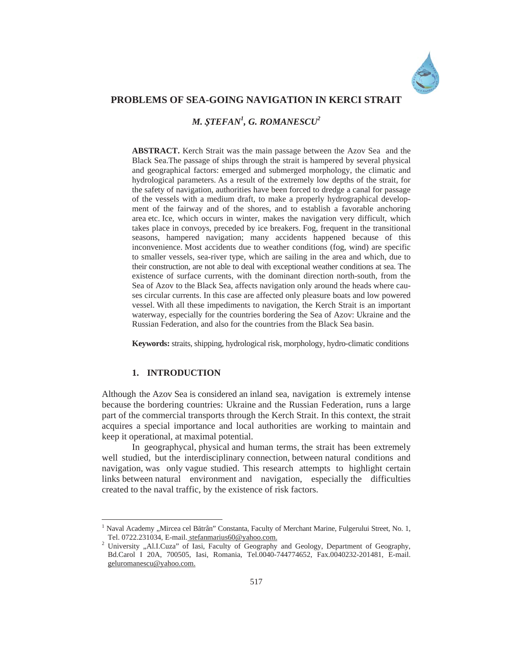

## **PROBLEMS OF SEA-GOING NAVIGATION IN KERCI STRAIT**

*M. ùTEFAN<sup>1</sup> , G. ROMANESCU<sup>2</sup>*

**ABSTRACT.** Kerch Strait was the main passage between the Azov Sea and the Black Sea.The passage of ships through the strait is hampered by several physical and geographical factors: emerged and submerged morphology, the climatic and hydrological parameters. As a result of the extremely low depths of the strait, for the safety of navigation, authorities have been forced to dredge a canal for passage of the vessels with a medium draft, to make a properly hydrographical development of the fairway and of the shores, and to establish a favorable anchoring area etc. Ice, which occurs in winter, makes the navigation very difficult, which takes place in convoys, preceded by ice breakers. Fog, frequent in the transitional seasons, hampered navigation; many accidents happened because of this inconvenience. Most accidents due to weather conditions (fog, wind) are specific to smaller vessels, sea-river type, which are sailing in the area and which, due to their construction, are not able to deal with exceptional weather conditions at sea. The existence of surface currents, with the dominant direction north-south, from the Sea of Azov to the Black Sea, affects navigation only around the heads where causes circular currents. In this case are affected only pleasure boats and low powered vessel. With all these impediments to navigation, the Kerch Strait is an important waterway, especially for the countries bordering the Sea of Azov: Ukraine and the Russian Federation, and also for the countries from the Black Sea basin.

**Keywords:** straits, shipping, hydrological risk, morphology, hydro-climatic conditions

# **1. INTRODUCTION**

 $\overline{a}$ 

Although the Azov Sea is considered an inland sea, navigation is extremely intense because the bordering countries: Ukraine and the Russian Federation, runs a large part of the commercial transports through the Kerch Strait. In this context, the strait acquires a special importance and local authorities are working to maintain and keep it operational, at maximal potential.

In geographycal, physical and human terms, the strait has been extremely well studied, but the interdisciplinary connection, between natural conditions and navigation, was only vague studied. This research attempts to highlight certain links between natural environment and navigation, especially the difficulties created to the naval traffic, by the existence of risk factors.

<sup>&</sup>lt;sup>1</sup> Naval Academy "Mircea cel Bătrân" Constanta, Faculty of Merchant Marine, Fulgerului Street, No. 1, Tel. 0722.231034, E-mail. stefanmarius60@yahoo.com. <sup>2</sup>

<sup>&</sup>lt;sup>2</sup> University "Al.I.Cuza" of Iasi, Faculty of Geography and Geology, Department of Geography, Bd.Carol I 20A, 700505, Iasi, Romania, Tel.0040-744774652, Fax.0040232-201481, E-mail. geluromanescu@yahoo.com.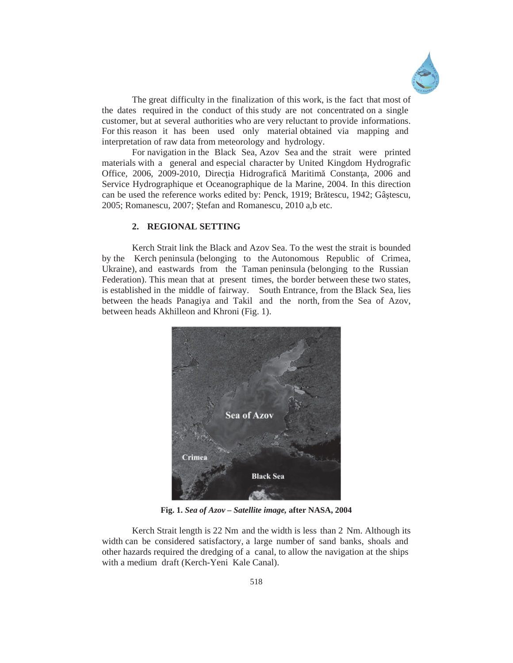

The great difficulty in the finalization of this work, is the fact that most of the dates required in the conduct of this study are not concentrated on a single customer, but at several authorities who are very reluctant to provide informations. For this reason it has been used only material obtained via mapping and interpretation of raw data from meteorology and hydrology.

For navigation in the Black Sea, Azov Sea and the strait were printed materials with a general and especial character by United Kingdom Hydrografic Office, 2006, 2009-2010, Direcția Hidrografică Maritimă Constanța, 2006 and Service Hydrographique et Oceanographique de la Marine, 2004. In this direction can be used the reference works edited by: Penck, 1919; Brătescu, 1942; Gâștescu, 2005; Romanescu, 2007; Stefan and Romanescu, 2010 a,b etc.

## **2. REGIONAL SETTING**

Kerch Strait link the Black and Azov Sea. To the west the strait is bounded by the Kerch peninsula (belonging to the Autonomous Republic of Crimea, Ukraine), and eastwards from the Taman peninsula (belonging to the Russian Federation). This mean that at present times, the border between these two states, is established in the middle of fairway. South Entrance, from the Black Sea, lies between the heads Panagiya and Takil and the north, from the Sea of Azov, between heads Akhilleon and Khroni (Fig. 1).



**Fig. 1.** *Sea of Azov – Satellite image,* **after NASA, 2004** 

Kerch Strait length is 22 Nm and the width is less than 2 Nm. Although its width can be considered satisfactory, a large number of sand banks, shoals and other hazards required the dredging of a canal, to allow the navigation at the ships with a medium draft (Kerch-Yeni Kale Canal).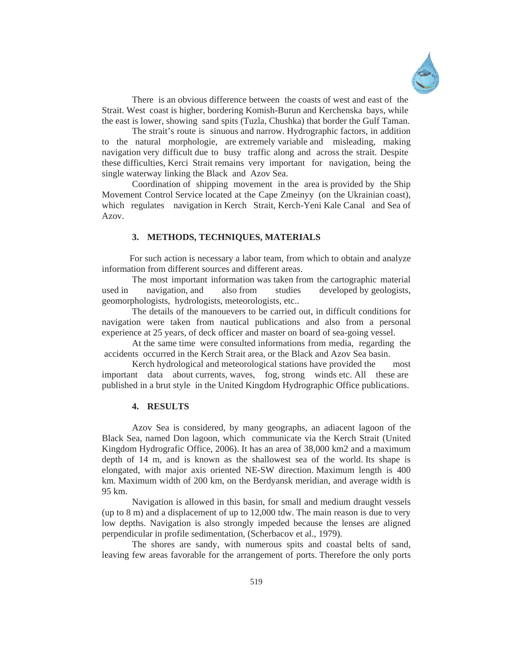

There is an obvious difference between the coasts of west and east of the Strait. West coast is higher, bordering Komish-Burun and Kerchenska bays, while the east is lower, showing sand spits (Tuzla, Chushka) that border the Gulf Taman.

 The strait's route is sinuous and narrow. Hydrographic factors, in addition to the natural morphologie, are extremely variable and misleading, making navigation very difficult due to busy traffic along and across the strait. Despite these difficulties, Kerci Strait remains very important for navigation, being the single waterway linking the Black and Azov Sea.

 Coordination of shipping movement in the area is provided by the Ship Movement Control Service located at the Cape Zmeinyy (on the Ukrainian coast), which regulates navigation in Kerch Strait, Kerch-Yeni Kale Canal and Sea of Azov.

### **3. METHODS, TECHNIQUES, MATERIALS**

 For such action is necessary a labor team, from which to obtain and analyze information from different sources and different areas.

 The most important information was taken from the cartographic material used in navigation, and also from studies developed by geologists, geomorphologists, hydrologists, meteorologists, etc..

The details of the manouevers to be carried out, in difficult conditions for navigation were taken from nautical publications and also from a personal experience at 25 years, of deck officer and master on board of sea-going vessel.

At the same time were consulted informations from media, regarding the accidents occurred in the Kerch Strait area, or the Black and Azov Sea basin.

Kerch hydrological and meteorological stations have provided the most important data about currents, waves, fog, strong winds etc. All these are published in a brut style in the United Kingdom Hydrographic Office publications.

### **4. RESULTS**

Azov Sea is considered, by many geographs, an adiacent lagoon of the Black Sea, named Don lagoon, which communicate via the Kerch Strait (United Kingdom Hydrografic Office, 2006). It has an area of 38,000 km2 and a maximum depth of 14 m, and is known as the shallowest sea of the world. Its shape is elongated, with major axis oriented NE-SW direction. Maximum length is 400 km. Maximum width of 200 km, on the Berdyansk meridian, and average width is 95 km.

 Navigation is allowed in this basin, for small and medium draught vessels (up to 8 m) and a displacement of up to 12,000 tdw. The main reason is due to very low depths. Navigation is also strongly impeded because the lenses are aligned perpendicular in profile sedimentation, (Scherbacov et al., 1979).

The shores are sandy, with numerous spits and coastal belts of sand, leaving few areas favorable for the arrangement of ports. Therefore the only ports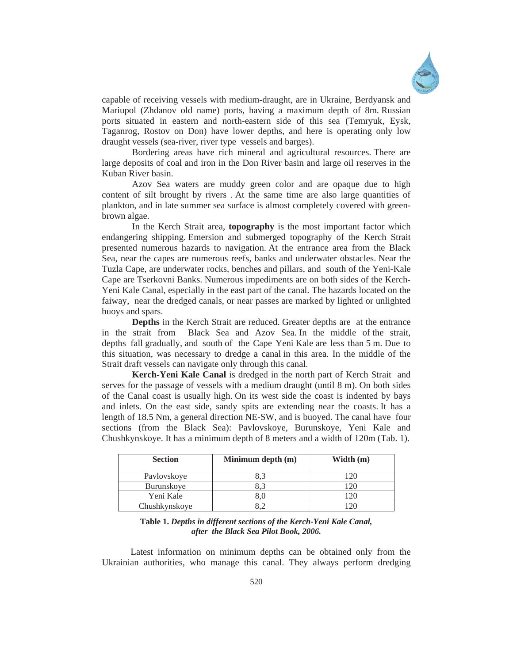

capable of receiving vessels with medium-draught, are in Ukraine, Berdyansk and Mariupol (Zhdanov old name) ports, having a maximum depth of 8m. Russian ports situated in eastern and north-eastern side of this sea (Temryuk, Eysk, Taganrog, Rostov on Don) have lower depths, and here is operating only low draught vessels (sea-river, river type vessels and barges).

Bordering areas have rich mineral and agricultural resources. There are large deposits of coal and iron in the Don River basin and large oil reserves in the Kuban River basin.

Azov Sea waters are muddy green color and are opaque due to high content of silt brought by rivers . At the same time are also large quantities of plankton, and in late summer sea surface is almost completely covered with greenbrown algae.

In the Kerch Strait area, **topography** is the most important factor which endangering shipping. Emersion and submerged topography of the Kerch Strait presented numerous hazards to navigation. At the entrance area from the Black Sea, near the capes are numerous reefs, banks and underwater obstacles. Near the Tuzla Cape, are underwater rocks, benches and pillars, and south of the Yeni-Kale Cape are Tserkovni Banks. Numerous impediments are on both sides of the Kerch-Yeni Kale Canal, especially in the east part of the canal. The hazards located on the faiway, near the dredged canals, or near passes are marked by lighted or unlighted buoys and spars.

**Depths** in the Kerch Strait are reduced. Greater depths are at the entrance in the strait from Black Sea and Azov Sea. In the middle of the strait, depths fall gradually, and south of the Cape Yeni Kale are less than 5 m. Due to this situation, was necessary to dredge a canal in this area. In the middle of the Strait draft vessels can navigate only through this canal.

**Kerch-Yeni Kale Canal** is dredged in the north part of Kerch Strait and serves for the passage of vessels with a medium draught (until 8 m). On both sides of the Canal coast is usually high. On its west side the coast is indented by bays and inlets. On the east side, sandy spits are extending near the coasts. It has a length of 18.5 Nm, a general direction NE-SW, and is buoyed. The canal have four sections (from the Black Sea): Pavlovskoye, Burunskoye, Yeni Kale and Chushkynskoye. It has a minimum depth of 8 meters and a width of 120m (Tab. 1).

| <b>Section</b> | Minimum depth (m) | Width (m) |
|----------------|-------------------|-----------|
| Pavlovskoye    |                   |           |
| Burunskove     |                   |           |
| Yeni Kale      | 8.0               |           |
| Chushkynskove  |                   |           |

**Table 1.** *Depths in different sections of the Kerch-Yeni Kale Canal, after the Black Sea Pilot Book, 2006.*

Latest information on minimum depths can be obtained only from the Ukrainian authorities, who manage this canal. They always perform dredging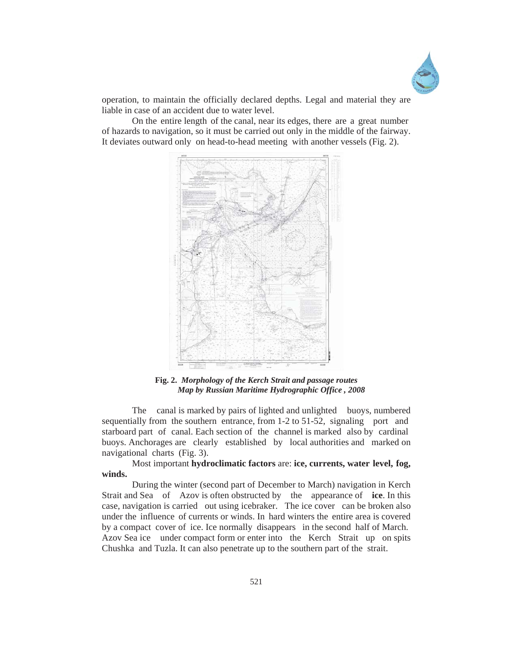

operation, to maintain the officially declared depths. Legal and material they are liable in case of an accident due to water level.

On the entire length of the canal, near its edges, there are a great number of hazards to navigation, so it must be carried out only in the middle of the fairway. It deviates outward only on head-to-head meeting with another vessels (Fig. 2).



**Fig. 2.** *Morphology of the Kerch Strait and passage routes Map by Russian Maritime Hydrographic Office , 2008*

The canal is marked by pairs of lighted and unlighted buoys, numbered sequentially from the southern entrance, from 1-2 to 51-52, signaling port and starboard part of canal. Each section of the channel is marked also by cardinal buoys. Anchorages are clearly established by local authorities and marked on navigational charts (Fig. 3).

Most important **hydroclimatic factors** are: **ice, currents, water level, fog, winds.**

During the winter (second part of December to March) navigation in Kerch Strait and Sea of Azov is often obstructed by the appearance of **ice**. In this case, navigation is carried out using icebraker. The ice cover can be broken also under the influence of currents or winds. In hard winters the entire area is covered by a compact cover of ice. Ice normally disappears in the second half of March. Azov Sea ice under compact form or enter into the Kerch Strait up on spits Chushka and Tuzla. It can also penetrate up to the southern part of the strait.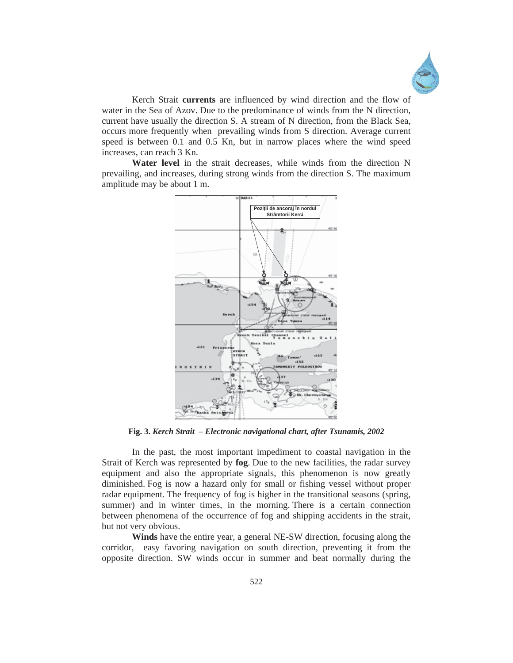

Kerch Strait **currents** are influenced by wind direction and the flow of water in the Sea of Azov. Due to the predominance of winds from the N direction, current have usually the direction S. A stream of N direction, from the Black Sea, occurs more frequently when prevailing winds from S direction. Average current speed is between 0.1 and 0.5 Kn, but in narrow places where the wind speed increases, can reach 3 Kn.

**Water level** in the strait decreases, while winds from the direction N prevailing, and increases, during strong winds from the direction S. The maximum amplitude may be about 1 m.



**Fig. 3.** *Kerch Strait – Electronic navigational chart, after Tsunamis, 2002* 

In the past, the most important impediment to coastal navigation in the Strait of Kerch was represented by **fog**. Due to the new facilities, the radar survey equipment and also the appropriate signals, this phenomenon is now greatly diminished. Fog is now a hazard only for small or fishing vessel without proper radar equipment. The frequency of fog is higher in the transitional seasons (spring, summer) and in winter times, in the morning. There is a certain connection between phenomena of the occurrence of fog and shipping accidents in the strait, but not very obvious.

 **Winds** have the entire year, a general NE-SW direction, focusing along the corridor, easy favoring navigation on south direction, preventing it from the opposite direction. SW winds occur in summer and beat normally during the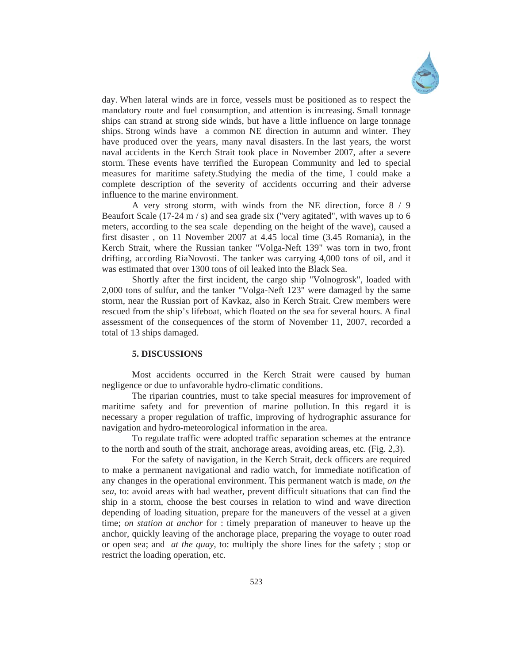

day. When lateral winds are in force, vessels must be positioned as to respect the mandatory route and fuel consumption, and attention is increasing. Small tonnage ships can strand at strong side winds, but have a little influence on large tonnage ships. Strong winds have a common NE direction in autumn and winter. They have produced over the years, many naval disasters. In the last years, the worst naval accidents in the Kerch Strait took place in November 2007, after a severe storm. These events have terrified the European Community and led to special measures for maritime safety.Studying the media of the time, I could make a complete description of the severity of accidents occurring and their adverse influence to the marine environment.

A very strong storm, with winds from the NE direction, force 8 / 9 Beaufort Scale (17-24 m / s) and sea grade six ("very agitated", with waves up to 6 meters, according to the sea scale depending on the height of the wave), caused a first disaster , on 11 November 2007 at 4.45 local time (3.45 Romania), in the Kerch Strait, where the Russian tanker "Volga-Neft 139" was torn in two, front drifting, according RiaNovosti. The tanker was carrying 4,000 tons of oil, and it was estimated that over 1300 tons of oil leaked into the Black Sea.

Shortly after the first incident, the cargo ship "Volnogrosk", loaded with 2,000 tons of sulfur, and the tanker "Volga-Neft 123" were damaged by the same storm, near the Russian port of Kavkaz, also in Kerch Strait. Crew members were rescued from the ship's lifeboat, which floated on the sea for several hours. A final assessment of the consequences of the storm of November 11, 2007, recorded a total of 13 ships damaged.

### **5. DISCUSSIONS**

Most accidents occurred in the Kerch Strait were caused by human negligence or due to unfavorable hydro-climatic conditions.

The riparian countries, must to take special measures for improvement of maritime safety and for prevention of marine pollution. In this regard it is necessary a proper regulation of traffic, improving of hydrographic assurance for navigation and hydro-meteorological information in the area.

To regulate traffic were adopted traffic separation schemes at the entrance to the north and south of the strait, anchorage areas, avoiding areas, etc. (Fig. 2,3).

For the safety of navigation, in the Kerch Strait, deck officers are required to make a permanent navigational and radio watch, for immediate notification of any changes in the operational environment. This permanent watch is made, *on the sea*, to: avoid areas with bad weather, prevent difficult situations that can find the ship in a storm, choose the best courses in relation to wind and wave direction depending of loading situation, prepare for the maneuvers of the vessel at a given time; *on station at anchor* for : timely preparation of maneuver to heave up the anchor, quickly leaving of the anchorage place, preparing the voyage to outer road or open sea; and *at the quay,* to: multiply the shore lines for the safety ; stop or restrict the loading operation, etc.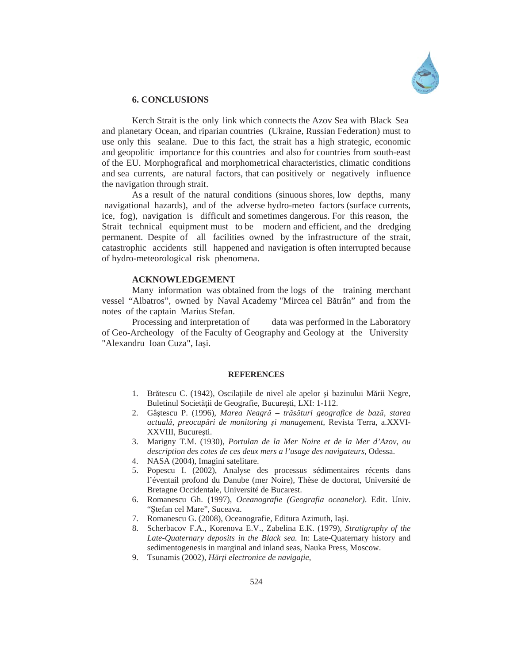

#### **6. CONCLUSIONS**

 Kerch Strait is the only link which connects the Azov Sea with Black Sea and planetary Ocean, and riparian countries (Ukraine, Russian Federation) must to use only this sealane. Due to this fact, the strait has a high strategic, economic and geopolitic importance for this countries and also for countries from south-east of the EU. Morphografical and morphometrical characteristics, climatic conditions and sea currents, are natural factors, that can positively or negatively influence the navigation through strait.

 As a result of the natural conditions (sinuous shores, low depths, many navigational hazards), and of the adverse hydro-meteo factors (surface currents, ice, fog), navigation is difficult and sometimes dangerous. For this reason, the Strait technical equipment must to be modern and efficient, and the dredging permanent. Despite of all facilities owned by the infrastructure of the strait, catastrophic accidents still happened and navigation is often interrupted because of hydro-meteorological risk phenomena.

#### **ACKNOWLEDGEMENT**

 Many information was obtained from the logs of the training merchant vessel "Albatros", owned by Naval Academy "Mircea cel Bătrân" and from the notes of the captain Marius Stefan.

Processing and interpretation of data was performed in the Laboratory of Geo-Archeology of the Faculty of Geography and Geology at the University "Alexandru Ioan Cuza", Iasi.

#### **REFERENCES**

- 1. Brătescu C. (1942), Oscilatiile de nivel ale apelor și bazinului Mării Negre, Buletinul Societății de Geografie, București, LXI: 1-112.
- 2. Gâútescu P. (1996), *Marea Neagră trăsături geografice de bază, starea actuală, preocupări de monitoring úi management,* Revista Terra, a.XXVI-XXVIII, București.
- 3. Marigny T.M. (1930), *Portulan de la Mer Noire et de la Mer d'Azov, ou description des cotes de ces deux mers a l'usage des navigateurs,* Odessa.
- 4. NASA (2004), Imagini satelitare.
- 5. Popescu I. (2002), Analyse des processus sédimentaires récents dans l'éventail profond du Danube (mer Noire), Thèse de doctorat, Université de Bretagne Occidentale, Université de Bucarest.
- 6. Romanescu Gh. (1997), *Oceanografie (Geografia oceanelor)*. Edit. Univ. "Stefan cel Mare", Suceava.
- 7. Romanescu G. (2008), Oceanografie, Editura Azimuth, Iași.
- 8. Scherbacov F.A., Korenova E.V., Zabelina E.K. (1979), *Stratigraphy of the Late-Quaternary deposits in the Black sea.* In: Late-Quaternary history and sedimentogenesis in marginal and inland seas, Nauka Press, Moscow.
- 9. Tsunamis (2002), *Hărți electronice de navigație*,